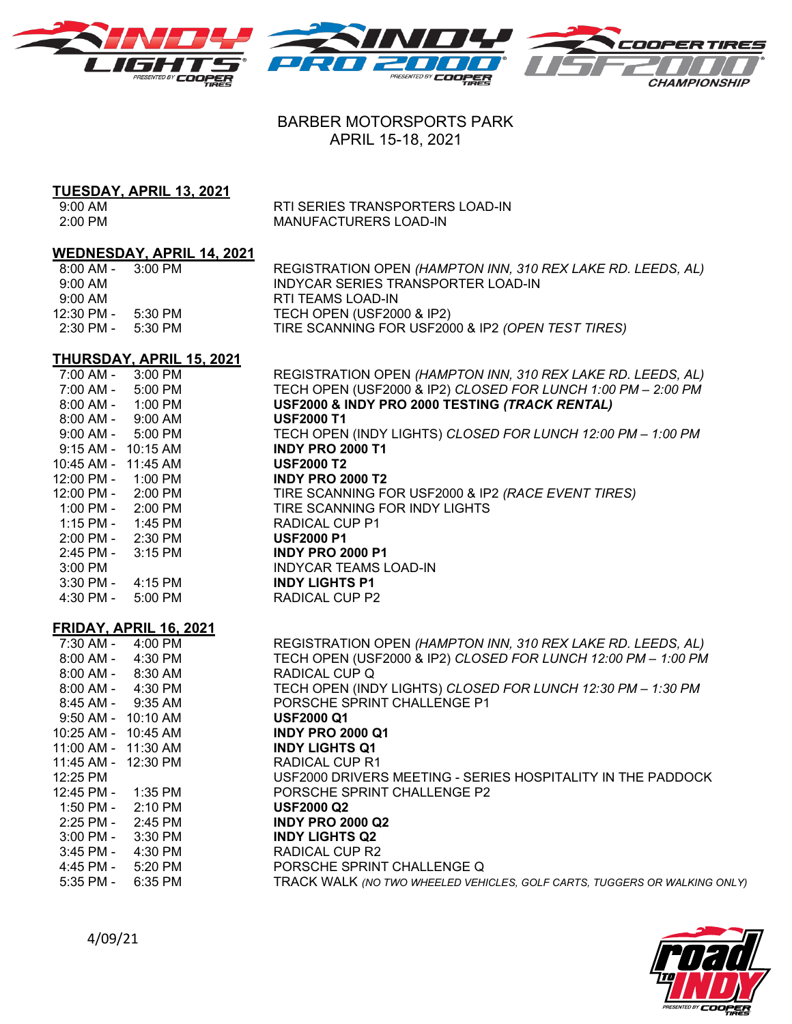



# BARBER MOTORSPORTS PARK APRIL 15-18, 2021

# **TUESDAY, APRIL 13, 2021**

9:00 AM RTI SERIES TRANSPORTERS LOAD-IN<br>2:00 PM 2:00 PM MANUFACTURERS LOAD-IN

## **WEDNESDAY, APRIL 14, 2021**

| 8:00 AM -           | 3:00 PM  | REGISTRATION OPEN (HAMPTON INN, 310 REX LAKE RD. LEEDS, AL) |
|---------------------|----------|-------------------------------------------------------------|
| $9:00 \, \text{AM}$ |          | INDYCAR SERIES TRANSPORTER LOAD-IN                          |
| $9:00 \text{ AM}$   |          | RTI TEAMS LOAD-IN                                           |
| 12:30 PM -          | -5:30 PM | TECH OPEN (USF2000 & IP2)                                   |
| 2:30 PM -           | 5:30 PM  | TIRE SCANNING FOR USF2000 & IP2 (OPEN TEST TIRES)           |
|                     |          |                                                             |

## **THURSDAY, APRIL 15, 2021**

| 7:00 AM -              | 3:00 PM                       | REGISTRATION OPEN (HAMPTON INN, 310 REX LAKE RD. LEEDS, AL)               |
|------------------------|-------------------------------|---------------------------------------------------------------------------|
| 7:00 AM -              | 5:00 PM                       | TECH OPEN (USF2000 & IP2) CLOSED FOR LUNCH 1:00 PM - 2:00 PM              |
| $8:00$ AM -            | 1:00 PM                       | USF2000 & INDY PRO 2000 TESTING (TRACK RENTAL)                            |
| $8:00$ AM -            | 9:00 AM                       | <b>USF2000 T1</b>                                                         |
| $9:00$ AM -            | 5:00 PM                       | TECH OPEN (INDY LIGHTS) CLOSED FOR LUNCH 12:00 PM - 1:00 PM               |
| $9:15$ AM - $10:15$ AM |                               | <b>INDY PRO 2000 T1</b>                                                   |
| 10:45 AM -             | 11:45 AM                      | <b>USF2000 T2</b>                                                         |
| 12:00 PM -             | 1:00 PM                       | <b>INDY PRO 2000 T2</b>                                                   |
| 12:00 PM -             | 2:00 PM                       | TIRE SCANNING FOR USF2000 & IP2 (RACE EVENT TIRES)                        |
| 1:00 PM -              | 2:00 PM                       | TIRE SCANNING FOR INDY LIGHTS                                             |
| 1:15 PM -              | 1:45 PM                       | <b>RADICAL CUP P1</b>                                                     |
| 2:00 PM -              | 2:30 PM                       | <b>USF2000 P1</b>                                                         |
| 2:45 PM -              | 3:15 PM                       | <b>INDY PRO 2000 P1</b>                                                   |
| 3:00 PM                |                               | <b>INDYCAR TEAMS LOAD-IN</b>                                              |
| 3:30 PM -              | 4:15 PM                       | <b>INDY LIGHTS P1</b>                                                     |
| 4:30 PM -              | 5:00 PM                       | RADICAL CUP P2                                                            |
|                        | <b>FRIDAY, APRIL 16, 2021</b> |                                                                           |
|                        | 7:30 AM - 4:00 PM             | REGISTRATION OPEN (HAMPTON INN, 310 REX LAKE RD. LEEDS, AL)               |
|                        | 8:00 AM - 4:30 PM             | TECH OPEN (USF2000 & IP2) CLOSED FOR LUNCH 12:00 PM - 1:00 PM             |
| 8:00 AM -              | 8:30 AM                       | RADICAL CUP Q                                                             |
| 8:00 AM -              | 4:30 PM                       | TECH OPEN (INDY LIGHTS) CLOSED FOR LUNCH 12:30 PM - 1:30 PM               |
| 8:45 AM - 9:35 AM      |                               | PORSCHE SPRINT CHALLENGE P1                                               |
| 9:50 AM - 10:10 AM     |                               | <b>USF2000 Q1</b>                                                         |
| 10:25 AM - 10:45 AM    |                               | <b>INDY PRO 2000 Q1</b>                                                   |
| 11:00 AM - 11:30 AM    |                               | <b>INDY LIGHTS Q1</b>                                                     |
| 11:45 AM - 12:30 PM    |                               | <b>RADICAL CUP R1</b>                                                     |
| 12:25 PM               |                               | USF2000 DRIVERS MEETING - SERIES HOSPITALITY IN THE PADDOCK               |
| 12:45 PM -             | 1:35 PM                       | PORSCHE SPRINT CHALLENGE P2                                               |
| 1:50 PM -              | 2:10 PM                       | <b>USF2000 Q2</b>                                                         |
| 2:25 PM -              | 2:45 PM                       | <b>INDY PRO 2000 Q2</b>                                                   |
| $3:00$ PM -            | 3:30 PM                       | <b>INDY LIGHTS Q2</b>                                                     |
| 3:45 PM -              | 4:30 PM                       | <b>RADICAL CUP R2</b>                                                     |
| 4:45 PM -              | 5:20 PM                       | PORSCHE SPRINT CHALLENGE Q                                                |
| 5:35 PM -              | 6:35 PM                       | TRACK WALK (NO TWO WHEELED VEHICLES, GOLF CARTS, TUGGERS OR WALKING ONLY) |